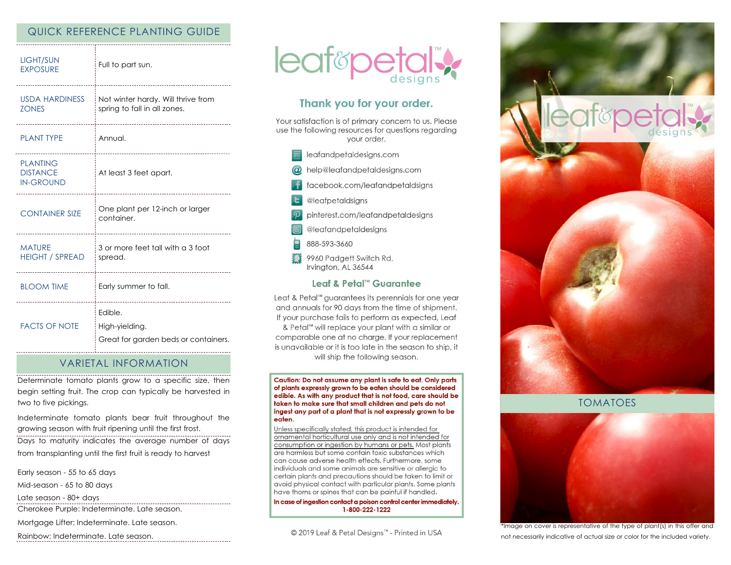# QUICK REFERENCE PLANTING GUIDE

| <b>LIGHT/SUN</b><br><b>EXPOSURE</b>                    | Full to part sun.                                                  |
|--------------------------------------------------------|--------------------------------------------------------------------|
| USDA HARDINESS<br><b>ZONES</b>                         | Not winter hardy. Will thrive from<br>spring to fall in all zones. |
| <b>PLANT TYPE</b>                                      | Annual.<br>----------------------------------                      |
| <b>PLANTING</b><br><b>DISTANCE</b><br><b>IN-GROUND</b> | At least 3 feet apart.<br>                                         |
| <b>CONTAINER SIZE</b>                                  | One plant per 12-inch or larger<br>container.<br>                  |
| <b>MATURE</b><br><b>HEIGHT / SPREAD</b>                | 3 or more feet tall with a 3 foot<br>spread.                       |
| <b>BLOOM TIME</b>                                      | Early summer to fall.                                              |
| <b>FACTS OF NOTE</b>                                   | Edible.<br>High-yielding.<br>Great for garden beds or containers.  |

# VARIETAL INFORMATION

Determinate tomato plants grow to a specific size, then begin setting fruit. The crop can typically be harvested in two to five pickings.

Indeterminate tomato plants bear fruit throughout the growing season with fruit ripening until the first frost.

Days to maturity indicates the average number of days from transplanting until the first fruit is ready to harvest

Early season - 55 to 65 days

Mid-season - 65 to 80 days

Late season - 80+ days

Cherokee Purple: Indeterminate. Late season.

Mortgage Lifter: Indeterminate. Late season.

Rainbow: Indeterminate. Late season.



# Thank you for your order.

Your satisfaction is of primary concern to us. Please use the following resources for questions regarding your order.

- eafandpetaldesigns.com
- @ help@leafandpetaldesigns.com
- facebook.com/leafandpetaldsigns
- **L** @leafpetaldsigns
- pinterest.com/leafandpetaldesigns
- @leafandpetaldesigns
- 888-593-3660
- 9960 Padgett Switch Rd. Irvington, AL 36544

## Leaf & Petal™ Guarantee

Leaf & Petal<sup>™</sup> guarantees its perennials for one year and annuals for 90 days from the time of shipment. If your purchase fails to perform as expected, Leaf & Petal™ will replace your plant with a similar or comparable one at no charge. If your replacement is unavailable or it is too late in the season to ship, it will ship the following season.

Caution: Do not assume any plant is safe to eat. Only parts of plants expressly grown to be eaten should be considered edible. As with any product that is not food, care should be taken to make sure that small children and pets do not ingest any part of a plant that is not expressly grown to be eaten.

Unless specifically stated, this product is intended for ornamental horticultural use only and is not intended for consumption or ingestion by humans or pets. Most plants are harmless but some contain toxic substances which can cause adverse health effects. Furthermore, some individuals and some animals are sensitive or allergic to certain plants and precautions should be taken to limit or avoid physical contact with particular plants. Some plants have thorns or spines that can be painful if handled.

In case of ingestion contact a poison control center immediately. 1-800-222-1222

© 2019 Leaf & Petal Designs™ - Printed in USA



TOMATOES



\*Image on cover is representative of the type of plant(s) in this offer and not necessarily indicative of actual size or color for the included variety.